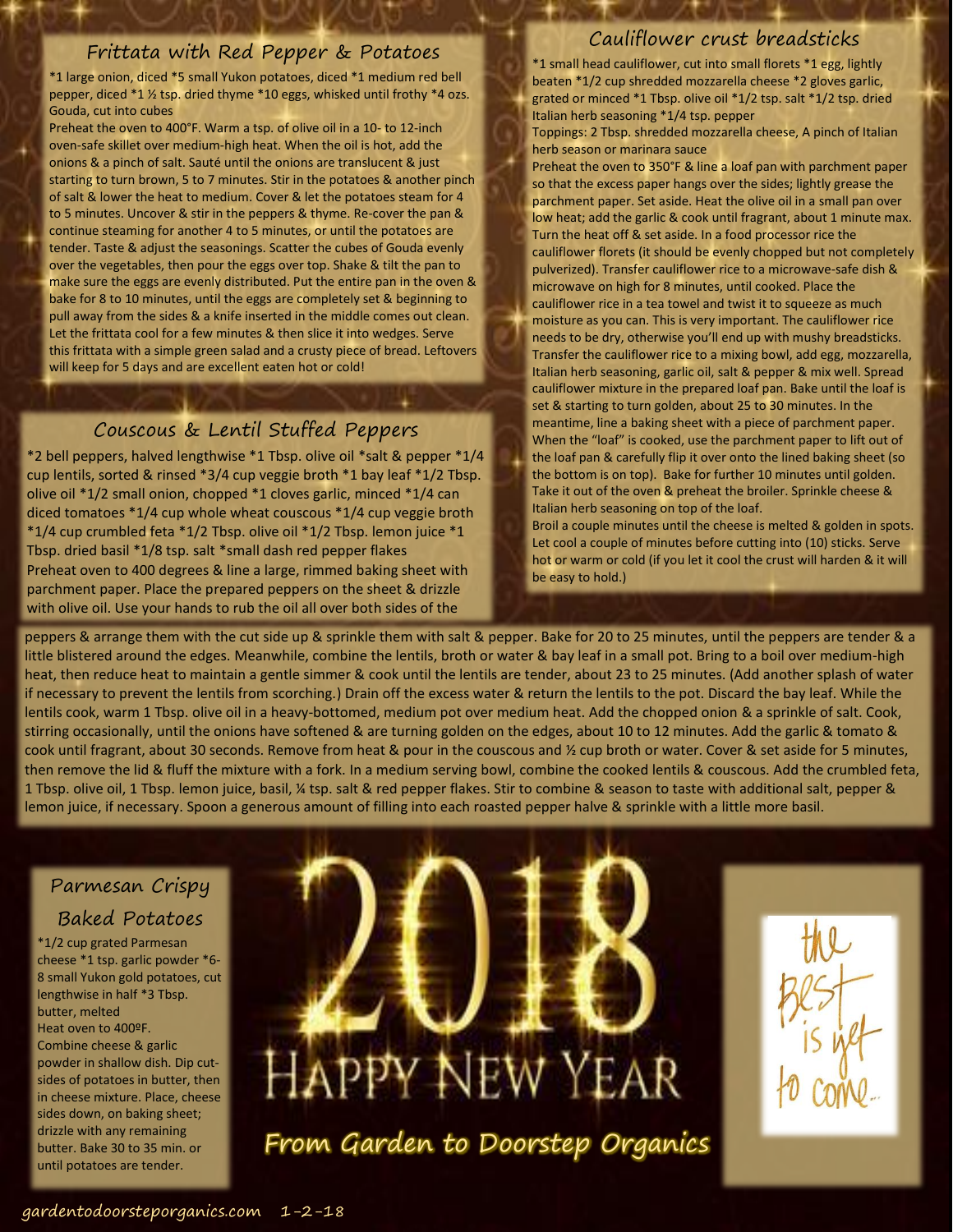#### Frittata with Red Pepper & Potatoes

\*1 large onion, diced \*5 small Yukon potatoes, diced \*1 medium red bell pepper, diced \*1 ½ tsp. dried thyme \*10 eggs, whisked until frothy \*4 ozs. Gouda, cut into cubes

Preheat the oven to 400°F. Warm a tsp. of olive oil in a 10- to 12-inch oven-safe skillet over medium-high heat. When the oil is hot, add the onions & a pinch of salt. Sauté until the onions are translucent & just starting to turn brown, 5 to 7 minutes. Stir in the potatoes & another pinch of salt & lower the heat to medium. Cover & let the potatoes steam for 4 to 5 minutes. Uncover & stir in the peppers & thyme. Re-cover the pan & continue steaming for another 4 to 5 minutes, or until the potatoes are tender. Taste & adjust the seasonings. Scatter the cubes of Gouda evenly over the vegetables, then pour the eggs over top. Shake & tilt the pan to make sure the eggs are evenly distributed. Put the entire pan in the oven & bake for 8 to 10 minutes, until the eggs are completely set & beginning to pull away from the sides & a knife inserted in the middle comes out clean. Let the frittata cool for a few minutes & then slice it into wedges. Serve this frittata with a simple green salad and a crusty piece of bread. Leftovers will keep for 5 days and are excellent eaten hot or cold!

### Couscous & Lentil Stuffed Peppers

\*2 bell peppers, halved lengthwise \*1 Tbsp. olive oil \*salt & pepper \*1/4 cup lentils, sorted & rinsed \*3/4 cup veggie broth \*1 bay leaf \*1/2 Tbsp. olive oil \*1/2 small onion, chopped \*1 cloves garlic, minced \*1/4 can diced tomatoes \*1/4 cup whole wheat couscous \*1/4 cup veggie broth \*1/4 cup crumbled feta \*1/2 Tbsp. olive oil \*1/2 Tbsp. lemon juice \*1 Tbsp. dried basil \*1/8 tsp. salt \*small dash red pepper flakes Preheat oven to 400 degrees & line a large, rimmed baking sheet with parchment paper. Place the prepared peppers on the sheet & drizzle with olive oil. Use your hands to rub the oil all over both sides of the

#### Cauliflower crust breadsticks

\*1 small head cauliflower, cut into small florets \*1 egg, lightly beaten \*1/2 cup shredded mozzarella cheese \*2 gloves garlic, grated or minced \*1 Tbsp. olive oil \*1/2 tsp. salt \*1/2 tsp. dried Italian herb seasoning \*1/4 tsp. pepper

Toppings: 2 Tbsp. shredded mozzarella cheese, A pinch of Italian herb season or marinara sauce

Preheat the oven to 350°F & line a loaf pan with parchment paper so that the excess paper hangs over the sides; lightly grease the parchment paper. Set aside. Heat the olive oil in a small pan over low heat; add the garlic & cook until fragrant, about 1 minute max. Turn the heat off & set aside. In a food processor rice the cauliflower florets (it should be evenly chopped but not completely pulverized). Transfer cauliflower rice to a microwave-safe dish & microwave on high for 8 minutes, until cooked. Place the cauliflower rice in a tea towel and twist it to squeeze as much moisture as you can. This is very important. The cauliflower rice needs to be dry, otherwise you'll end up with mushy breadsticks. Transfer the cauliflower rice to a mixing bowl, add egg, mozzarella, Italian herb seasoning, garlic oil, salt & pepper & mix well. Spread cauliflower mixture in the prepared loaf pan. Bake until the loaf is set & starting to turn golden, about 25 to 30 minutes. In the meantime, line a baking sheet with a piece of parchment paper. When the "loaf" is cooked, use the parchment paper to lift out of the loaf pan & carefully flip it over onto the lined baking sheet (so the bottom is on top). Bake for further 10 minutes until golden. Take it out of the oven & preheat the broiler. Sprinkle cheese & Italian herb seasoning on top of the loaf.

Broil a couple minutes until the cheese is melted & golden in spots. Let cool a couple of minutes before cutting into (10) sticks. Serve hot or warm or cold (if you let it cool the crust will harden & it will be easy to hold.)

peppers & arrange them with the cut side up & sprinkle them with salt & pepper. Bake for 20 to 25 minutes, until the peppers are tender & a little blistered around the edges. Meanwhile, combine the lentils, broth or water & bay leaf in a small pot. Bring to a boil over medium-high heat, then reduce heat to maintain a gentle simmer & cook until the lentils are tender, about 23 to 25 minutes. (Add another splash of water if necessary to prevent the lentils from scorching.) Drain off the excess water & return the lentils to the pot. Discard the bay leaf. While the lentils cook, warm 1 Tbsp. olive oil in a heavy-bottomed, medium pot over medium heat. Add the chopped onion & a sprinkle of salt. Cook, stirring occasionally, until the onions have softened & are turning golden on the edges, about 10 to 12 minutes. Add the garlic & tomato & cook until fragrant, about 30 seconds. Remove from heat & pour in the couscous and  $\frac{1}{2}$  cup broth or water. Cover & set aside for 5 minutes, then remove the lid & fluff the mixture with a fork. In a medium serving bowl, combine the cooked lentils & couscous. Add the crumbled feta, 1 Tbsp. olive oil, 1 Tbsp. lemon juice, basil, ¼ tsp. salt & red pepper flakes. Stir to combine & season to taste with additional salt, pepper & lemon juice, if necessary. Spoon a generous amount of filling into each roasted pepper halve & sprinkle with a little more basil.

## Parmesan Crispy Baked Potatoes

\*1/2 cup grated Parmesan cheese \*1 tsp. garlic powder \*6- 8 small Yukon gold potatoes, cut lengthwise in half \*3 Tbsp. butter, melted Heat oven to 400ºF. Combine cheese & garlic powder in shallow dish. Dip cutsides of potatoes in butter, then in cheese mixture. Place, cheese sides down, on baking sheet; drizzle with any remaining butter. Bake 30 to 35 min. or until potatoes are tender.